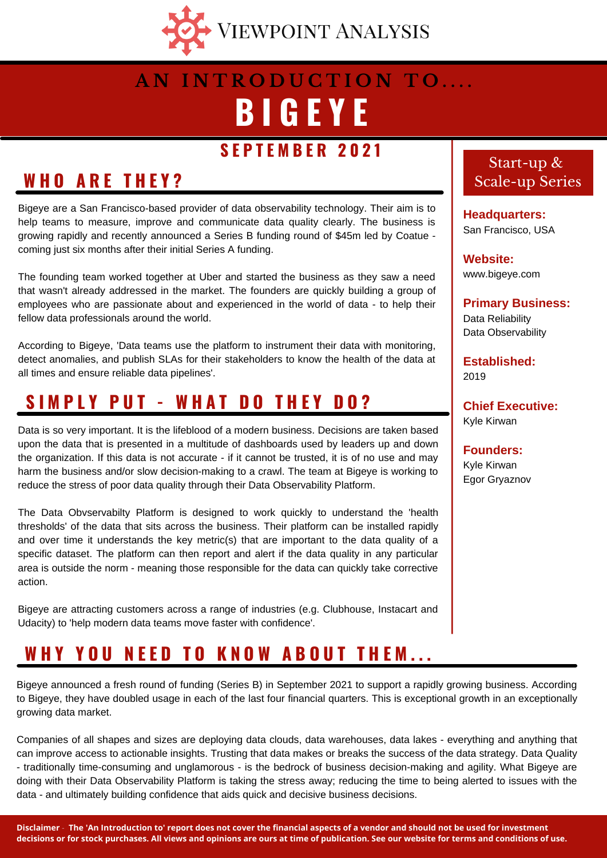

# **B I G E Y E A N I N T R O D U C T I O N T O . . . .**

### **S E P T E M B E R 2 0 2 1**

### **W H O A R E T H E Y ?**

Bigeye are a San Francisco-based provider of data observability technology. Their aim is to help teams to measure, improve and communicate data quality clearly. The business is growing rapidly and recently announced a Series B funding round of \$45m led by Coatue coming just six months after their initial Series A funding.

The founding team worked together at Uber and started the business as they saw a need that wasn't already addressed in the market. The founders are quickly building a group of employees who are passionate about and experienced in the world of data - to help their fellow data professionals around the world.

According to Bigeye, 'Data teams use the platform to instrument their data with monitoring, detect anomalies, and publish SLAs for their stakeholders to know the health of the data at all times and ensure reliable data pipelines'.

### **S I M P L Y P U T - W H A T D O T H E Y D O ?**

Data is so very important. It is the lifeblood of a modern business. Decisions are taken based upon the data that is presented in a multitude of dashboards used by leaders up and down the organization. If this data is not accurate - if it cannot be trusted, it is of no use and may harm the business and/or slow decision-making to a crawl. The team at Bigeye is working to reduce the stress of poor data quality through their Data Observability Platform.

The Data Obvservabilty Platform is designed to work quickly to understand the 'health thresholds' of the data that sits across the business. Their platform can be installed rapidly and over time it understands the key metric(s) that are important to the data quality of a specific dataset. The platform can then report and alert if the data quality in any particular area is outside the norm - meaning those responsible for the data can quickly take corrective action.

Bigeye are attracting customers across a range of industries (e.g. Clubhouse, Instacart and Udacity) to 'help modern data teams move faster with confidence'.

# WHY YOU NEED TO KNOW ABOUT THEM...

Bigeye announced a fresh round of funding (Series B) in September 2021 to support a rapidly growing business. According to Bigeye, they have doubled usage in each of the last four financial quarters. This is exceptional growth in an exceptionally growing data market.

Companies of all shapes and sizes are deploying data clouds, data warehouses, data lakes - everything and anything that can improve access to actionable insights. Trusting that data makes or breaks the success of the data strategy. Data Quality - traditionally time-consuming and unglamorous - is the bedrock of business decision-making and agility. What Bigeye are doing with their Data Observability Platform is taking the stress away; reducing the time to being alerted to issues with the data - and ultimately building confidence that aids quick and decisive business decisions.

#### Start-up & Scale-up Series

**Headquarters:** San Francisco, USA

**Website:** www.bigeye.com

**Primary Business:** Data Reliability Data Observability

**Established:** 2019

**Chief Executive:** Kyle Kirwan

**Founders:** Kyle Kirwan Egor Gryaznov